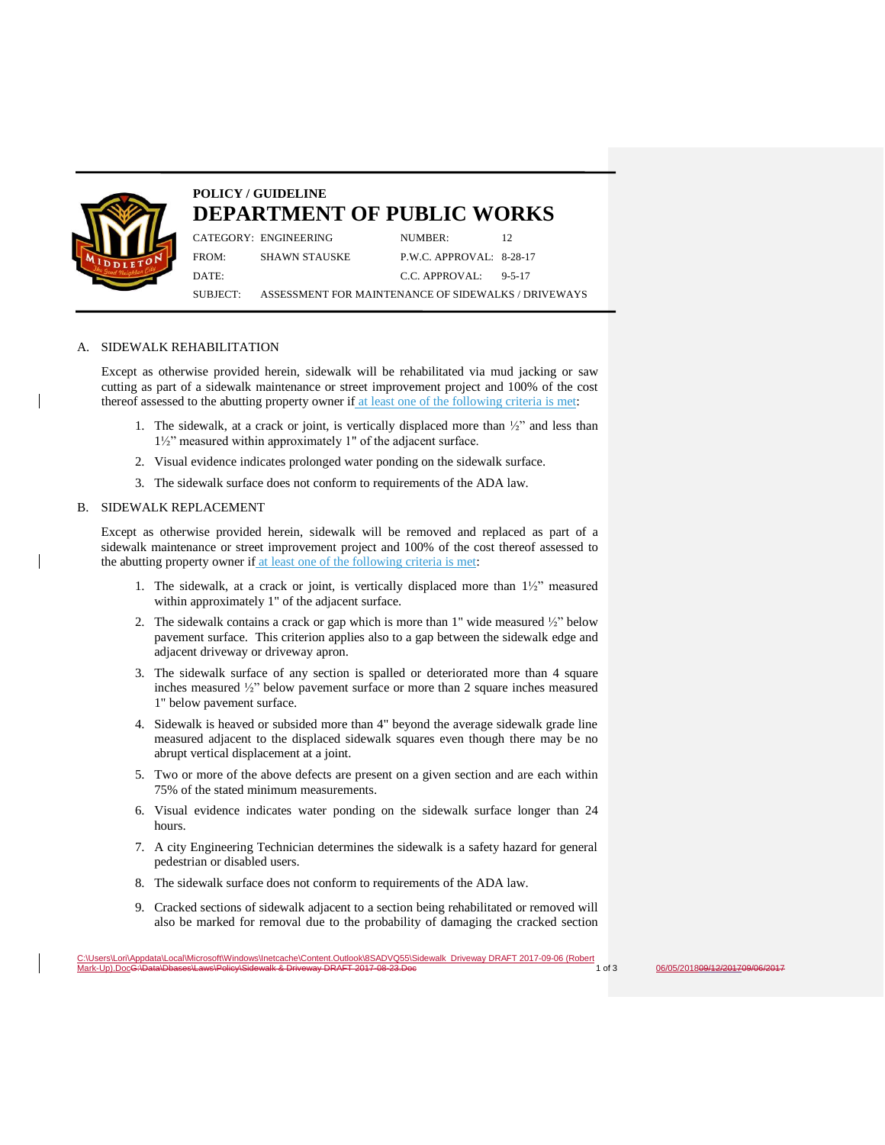

# **POLICY / GUIDELINE DEPARTMENT OF PUBLIC WORKS**

CATEGORY: ENGINEERING NUMBER: 12 FROM: SHAWN STAUSKE P.W.C. APPROVAL: 8-28-17 DATE: 0-5-17

SUBJECT: ASSESSMENT FOR MAINTENANCE OF SIDEWALKS / DRIVEWAYS

#### A. SIDEWALK REHABILITATION

Except as otherwise provided herein, sidewalk will be rehabilitated via mud jacking or saw cutting as part of a sidewalk maintenance or street improvement project and 100% of the cost thereof assessed to the abutting property owner if at least one of the following criteria is met:

- 1. The sidewalk, at a crack or joint, is vertically displaced more than  $\frac{1}{2}$ " and less than 1½" measured within approximately 1" of the adjacent surface.
- 2. Visual evidence indicates prolonged water ponding on the sidewalk surface.
- 3. The sidewalk surface does not conform to requirements of the ADA law.

### B. SIDEWALK REPLACEMENT

Except as otherwise provided herein, sidewalk will be removed and replaced as part of a sidewalk maintenance or street improvement project and 100% of the cost thereof assessed to the abutting property owner if at least one of the following criteria is met:

- 1. The sidewalk, at a crack or joint, is vertically displaced more than 1½" measured within approximately 1" of the adjacent surface.
- 2. The sidewalk contains a crack or gap which is more than 1" wide measured ½" below pavement surface. This criterion applies also to a gap between the sidewalk edge and adjacent driveway or driveway apron.
- 3. The sidewalk surface of any section is spalled or deteriorated more than 4 square inches measured ½" below pavement surface or more than 2 square inches measured 1" below pavement surface.
- 4. Sidewalk is heaved or subsided more than 4" beyond the average sidewalk grade line measured adjacent to the displaced sidewalk squares even though there may be no abrupt vertical displacement at a joint.
- 5. Two or more of the above defects are present on a given section and are each within 75% of the stated minimum measurements.
- 6. Visual evidence indicates water ponding on the sidewalk surface longer than 24 hours.
- 7. A city Engineering Technician determines the sidewalk is a safety hazard for general pedestrian or disabled users.
- 8. The sidewalk surface does not conform to requirements of the ADA law.
- 9. Cracked sections of sidewalk adjacent to a section being rehabilitated or removed will also be marked for removal due to the probability of damaging the cracked section

 $06/05/201809/12/201709/06/2017$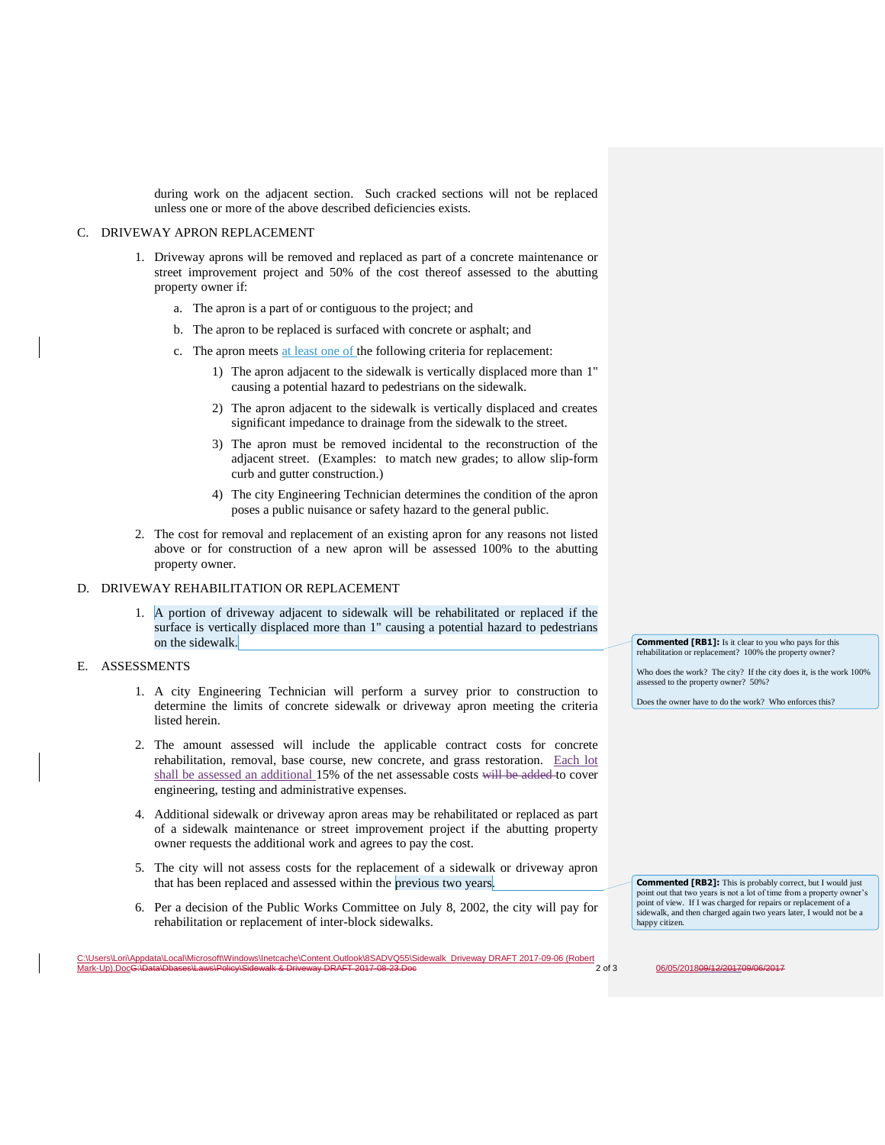during work on the adjacent section. Such cracked sections will not be replaced unless one or more of the above described deficiencies exists.

## C. DRIVEWAY APRON REPLACEMENT

- 1. Driveway aprons will be removed and replaced as part of a concrete maintenance or street improvement project and 50% of the cost thereof assessed to the abutting property owner if:
	- a. The apron is a part of or contiguous to the project; and
	- b. The apron to be replaced is surfaced with concrete or asphalt; and
	- c. The apron meets at least one of the following criteria for replacement:
		- 1) The apron adjacent to the sidewalk is vertically displaced more than 1" causing a potential hazard to pedestrians on the sidewalk.
		- 2) The apron adjacent to the sidewalk is vertically displaced and creates significant impedance to drainage from the sidewalk to the street.
		- 3) The apron must be removed incidental to the reconstruction of the adjacent street. (Examples: to match new grades; to allow slip-form curb and gutter construction.)
		- 4) The city Engineering Technician determines the condition of the apron poses a public nuisance or safety hazard to the general public.
- 2. The cost for removal and replacement of an existing apron for any reasons not listed above or for construction of a new apron will be assessed 100% to the abutting property owner.

#### D. DRIVEWAY REHABILITATION OR REPLACEMENT

1. A portion of driveway adjacent to sidewalk will be rehabilitated or replaced if the surface is vertically displaced more than 1" causing a potential hazard to pedestrians on the sidewalk.

## E. ASSESSMENTS

- 1. A city Engineering Technician will perform a survey prior to construction to determine the limits of concrete sidewalk or driveway apron meeting the criteria listed herein.
- 2. The amount assessed will include the applicable contract costs for concrete rehabilitation, removal, base course, new concrete, and grass restoration. Each lot shall be assessed an additional 15% of the net assessable costs will be added to cover engineering, testing and administrative expenses.
- 4. Additional sidewalk or driveway apron areas may be rehabilitated or replaced as part of a sidewalk maintenance or street improvement project if the abutting property owner requests the additional work and agrees to pay the cost.
- 5. The city will not assess costs for the replacement of a sidewalk or driveway apron that has been replaced and assessed within the previous two years.
- 6. Per a decision of the Public Works Committee on July 8, 2002, the city will pay for rehabilitation or replacement of inter-block sidewalks.

**Commented [RB1]:** Is it clear to you who pays for this rehabilitation or replacement? 100% the property owner?

Who does the work? The city? If the city does it, is the work 100% assessed to the property owner? 50%?

Does the owner have to do the work? Who enforces this?

**Commented [RB2]:** This is probably correct, but I would just point out that two years is not a lot of time from a property owner's point of view. If I was charged for repairs or replacement of a sidewalk, and then charged again two years later, I would not be a

C:\Users\Lori\Appdata\Local\Microsoft\Windows\Inetcache\Content.Outlook\8SADVQ55\Sidewalk Driveway DRAFT 2017-09-06 (Robert  $\underline{06/05/201809/12/2017}$  209/06/2017

happy citizen.